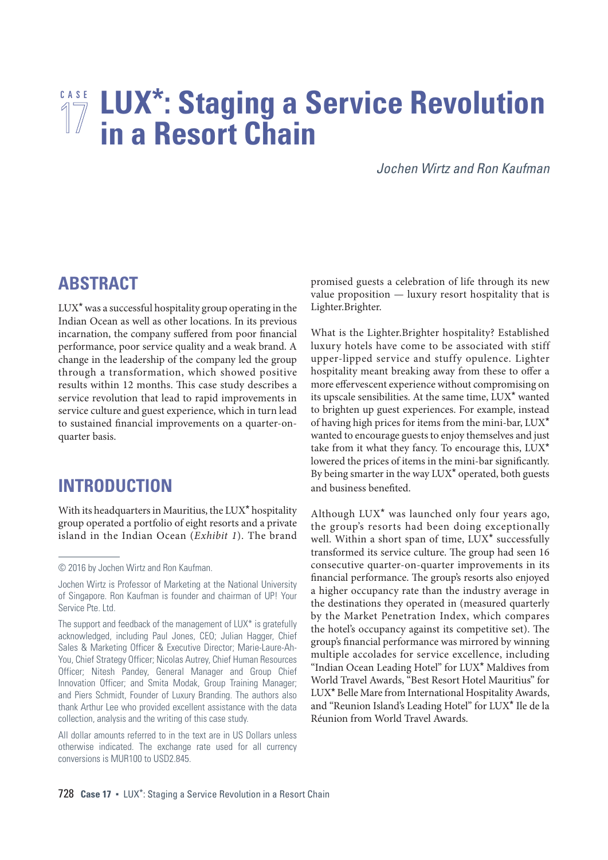# CASE **LUX\*: Staging a Service Revolution in a Resort Chain**

Jochen Wirtz and Ron Kaufman

#### **ABSTRACT**

LUX\* was a successful hospitality group operating in the Indian Ocean as well as other locations. In its previous incarnation, the company sufered from poor fnancial performance, poor service quality and a weak brand. A change in the leadership of the company led the group through a transformation, which showed positive results within 12 months. This case study describes a service revolution that lead to rapid improvements in service culture and guest experience, which in turn lead to sustained fnancial improvements on a quarter-onquarter basis.

#### **INTRODUCTION**

With its headquarters in Mauritius, the LUX\* hospitality group operated a portfolio of eight resorts and a private island in the Indian Ocean (Exhibit 1). The brand

© 2016 by Jochen Wirtz and Ron Kaufman.

promised guests a celebration of life through its new value proposition — luxury resort hospitality that is Lighter.Brighter.

What is the Lighter.Brighter hospitality? Established luxury hotels have come to be associated with stiff upper-lipped service and stuffy opulence. Lighter hospitality meant breaking away from these to offer a more efervescent experience without compromising on its upscale sensibilities. At the same time, LUX\* wanted to brighten up guest experiences. For example, instead of having high prices for items from the mini-bar, LUX\* wanted to encourage guests to enjoy themselves and just take from it what they fancy. To encourage this, LUX\* lowered the prices of items in the mini-bar signifcantly. By being smarter in the way LUX\* operated, both guests and business benefted.

Although LUX\* was launched only four years ago, the group's resorts had been doing exceptionally well. Within a short span of time, LUX\* successfully transformed its service culture. The group had seen 16 consecutive quarter-on-quarter improvements in its financial performance. The group's resorts also enjoyed a higher occupancy rate than the industry average in the destinations they operated in (measured quarterly by the Market Penetration Index, which compares the hotel's occupancy against its competitive set). The group's fnancial performance was mirrored by winning multiple accolades for service excellence, including "Indian Ocean Leading Hotel" for LUX\* Maldives from World Travel Awards, "Best Resort Hotel Mauritius" for LUX\* Belle Mare from International Hospitality Awards, and "Reunion Island's Leading Hotel" for LUX\* Ile de la Réunion from World Travel Awards.

Jochen Wirtz is Professor of Marketing at the National University of Singapore. Ron Kaufman is founder and chairman of UP! Your Service Pte. Ltd.

The support and feedback of the management of LUX\* is gratefully acknowledged, including Paul Jones, CEO; Julian Hagger, Chief Sales & Marketing Officer & Executive Director; Marie-Laure-Ah-You, Chief Strategy Officer; Nicolas Autrey, Chief Human Resources Officer; Nitesh Pandey, General Manager and Group Chief Innovation Officer; and Smita Modak, Group Training Manager; and Piers Schmidt, Founder of Luxury Branding. The authors also thank Arthur Lee who provided excellent assistance with the data collection, analysis and the writing of this case study.

All dollar amounts referred to in the text are in US Dollars unless otherwise indicated. The exchange rate used for all currency conversions is MUR100 to USD2.845.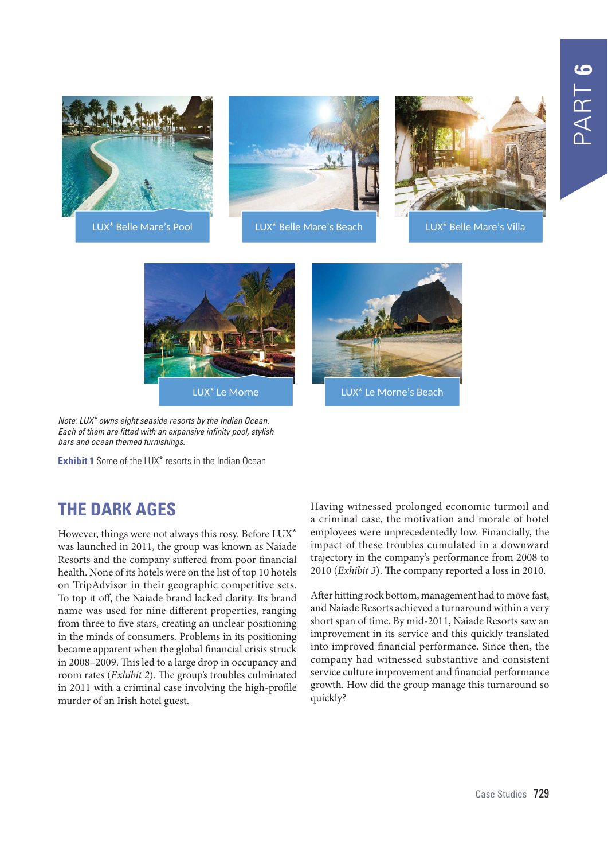

LUX\* Belle Mare's Pool and a LU



X\* Belle Mare's Beach in the LU







X\* Le Morne's Beach

Note: LUX*\** owns eight seaside resorts by the Indian Ocean. Each of them are fitted with an expansive infinity pool, stylish bars and ocean themed furnishings.

**Exhibit 1** Some of the LUX<sup>\*</sup> resorts in the Indian Ocean

#### **THE DARK AGES**

However, things were not always this rosy. Before LUX\* was launched in 2011, the group was known as Naiade Resorts and the company sufered from poor fnancial health. None of its hotels were on the list of top 10 hotels on TripAdvisor in their geographic competitive sets. To top it of, the Naiade brand lacked clarity. Its brand name was used for nine diferent properties, ranging from three to fve stars, creating an unclear positioning in the minds of consumers. Problems in its positioning became apparent when the global fnancial crisis struck in 2008–2009. This led to a large drop in occupancy and room rates (Exhibit 2). The group's troubles culminated in 2011 with a criminal case involving the high-profle murder of an Irish hotel guest.

Having witnessed prolonged economic turmoil and a criminal case, the motivation and morale of hotel employees were unprecedentedly low. Financially, the impact of these troubles cumulated in a downward trajectory in the company's performance from 2008 to 2010 (Exhibit 3). The company reported a loss in 2010.

Afer hitting rock bottom, management had to move fast, and Naiade Resorts achieved a turnaround within a very short span of time. By mid-2011, Naiade Resorts saw an improvement in its service and this quickly translated into improved fnancial performance. Since then, the company had witnessed substantive and consistent service culture improvement and fnancial performance growth. How did the group manage this turnaround so quickly?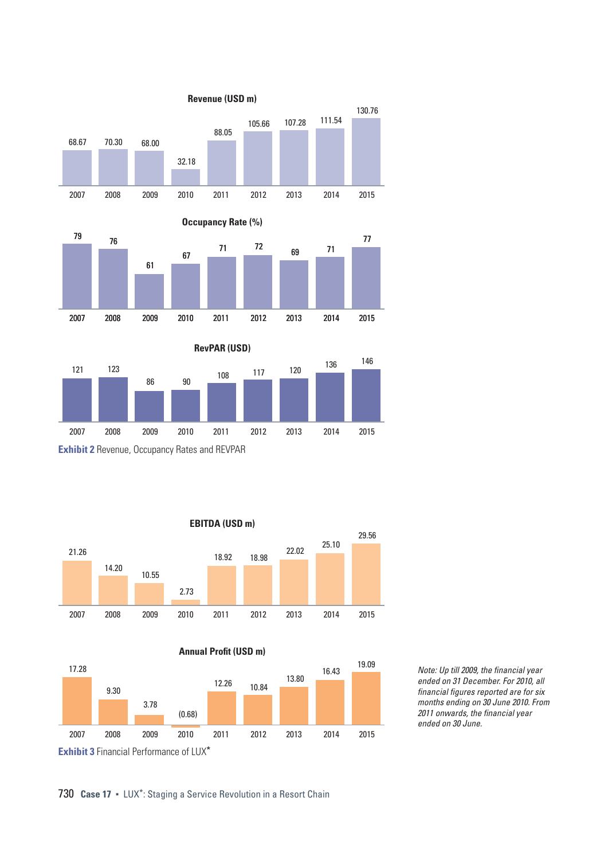

**Exhibit 2** Revenue, Occupancy Rates and REVPAR



**Exhibit 3** Financial Performance of LUX\* **Annual Profit (USD m)** 2007 2008 2009 2010 2011 2012 2013 2014 2015 17.28 9.30 3.78 (0.68) 12.26 10.84 13.80 16.43



730 Case 17 • LUX<sup>\*</sup>: Staging a Service Revolution in a Resort Chain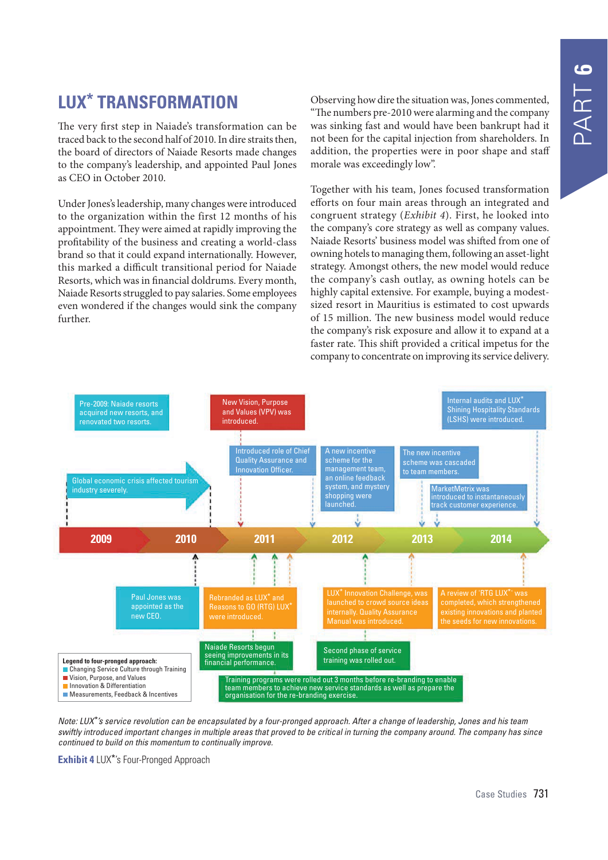# **LUX\* TRANSFORMATION**

The very first step in Naiade's transformation can be traced back to the second half of 2010. In dire straits then, the board of directors of Naiade Resorts made changes to the company's leadership, and appointed Paul Jones as CEO in October 2010.

Under Jones's leadership, many changes were introduced to the organization within the first 12 months of his appointment. They were aimed at rapidly improving the proftability of the business and creating a world-class brand so that it could expand internationally. However, this marked a difficult transitional period for Naiade Resorts, which was in fnancial doldrums. Every month, Naiade Resorts struggled to pay salaries. Some employees even wondered if the changes would sink the company further.

Observing how dire the situation was, Jones commented, "The numbers pre-2010 were alarming and the company was sinking fast and would have been bankrupt had it not been for the capital injection from shareholders. In addition, the properties were in poor shape and staf morale was exceedingly low".

Together with his team, Jones focused transformation eforts on four main areas through an integrated and congruent strategy (Exhibit 4). First, he looked into the company's core strategy as well as company values. Naiade Resorts' business model was shifed from one of owning hotels to managing them, following an asset-light strategy. Amongst others, the new model would reduce the company's cash outlay, as owning hotels can be highly capital extensive. For example, buying a modestsized resort in Mauritius is estimated to cost upwards of 15 million. The new business model would reduce the company's risk exposure and allow it to expand at a faster rate. This shift provided a critical impetus for the company to concentrate on improving its service delivery.



Note: LUX*\**'s service revolution can be encapsulated by a four-pronged approach. After a change of leadership, Jones and his team swiftly introduced important changes in multiple areas that proved to be critical in turning the company around. The company has since continued to build on this momentum to continually improve.

**Exhibit 4 LUX\*'s Four-Pronged Approach**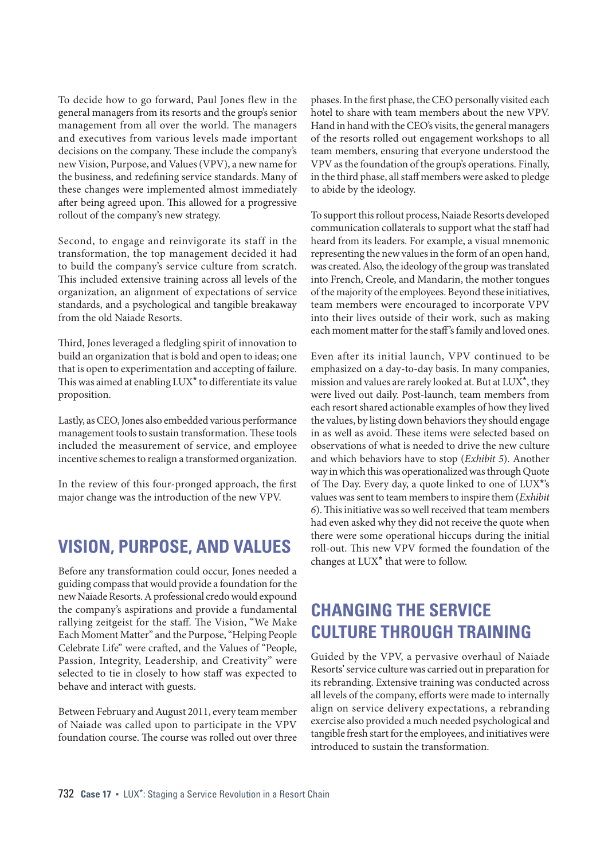To decide how to go forward, Paul Jones flew in the general managers from its resorts and the group's senior management from all over the world. The managers and executives from various levels made important decisions on the company. These include the company's new Vision, Purpose, and Values (VPV), a new name for the business, and redefning service standards. Many of these changes were implemented almost immediately after being agreed upon. This allowed for a progressive rollout of the company's new strategy.

Second, to engage and reinvigorate its staff in the transformation, the top management decided it had to build the company's service culture from scratch. This included extensive training across all levels of the organization, an alignment of expectations of service standards, and a psychological and tangible breakaway from the old Naiade Resorts.

Third, Jones leveraged a fledgling spirit of innovation to build an organization that is bold and open to ideas; one that is open to experimentation and accepting of failure. This was aimed at enabling LUX\* to differentiate its value proposition.

Lastly, as CEO, Jones also embedded various performance management tools to sustain transformation. These tools included the measurement of service, and employee incentive schemes to realign a transformed organization.

In the review of this four-pronged approach, the frst major change was the introduction of the new VPV.

#### **VISION, PURPOSE, AND VALUES**

Before any transformation could occur, Jones needed a guiding compass that would provide a foundation for the new Naiade Resorts. A professional credo would expound the company's aspirations and provide a fundamental rallying zeitgeist for the staff. The Vision, "We Make Each Moment Matter" and the Purpose, "Helping People Celebrate Life" were crafed, and the Values of "People, Passion, Integrity, Leadership, and Creativity" were selected to tie in closely to how staf was expected to behave and interact with guests.

Between February and August 2011, every team member of Naiade was called upon to participate in the VPV foundation course. The course was rolled out over three phases. In the frst phase, the CEO personally visited each hotel to share with team members about the new VPV. Hand in hand with the CEO's visits, the general managers of the resorts rolled out engagement workshops to all team members, ensuring that everyone understood the VPV as the foundation of the group's operations. Finally, in the third phase, all staf members were asked to pledge to abide by the ideology.

To support this rollout process, Naiade Resorts developed communication collaterals to support what the staf had heard from its leaders. For example, a visual mnemonic representing the new values in the form of an open hand, was created. Also, the ideology of the group was translated into French, Creole, and Mandarin, the mother tongues of the majority of the employees. Beyond these initiatives, team members were encouraged to incorporate VPV into their lives outside of their work, such as making each moment matter for the staf's family and loved ones.

Even after its initial launch, VPV continued to be emphasized on a day-to-day basis. In many companies, mission and values are rarely looked at. But at LUX\*, they were lived out daily. Post-launch, team members from each resort shared actionable examples of how they lived the values, by listing down behaviors they should engage in as well as avoid. These items were selected based on observations of what is needed to drive the new culture and which behaviors have to stop (Exhibit 5). Another way in which this was operationalized was through Quote of The Day. Every day, a quote linked to one of  $LUX^*$ 's values was sent to team members to inspire them (Exhibit 6). This initiative was so well received that team members had even asked why they did not receive the quote when there were some operational hiccups during the initial roll-out. This new VPV formed the foundation of the changes at LUX\* that were to follow.

### **CHANGING THE SERVICE CULTURE THROUGH TRAINING**

Guided by the VPV, a pervasive overhaul of Naiade Resorts' service culture was carried out in preparation for its rebranding. Extensive training was conducted across all levels of the company, efforts were made to internally align on service delivery expectations, a rebranding exercise also provided a much needed psychological and tangible fresh start for the employees, and initiatives were introduced to sustain the transformation.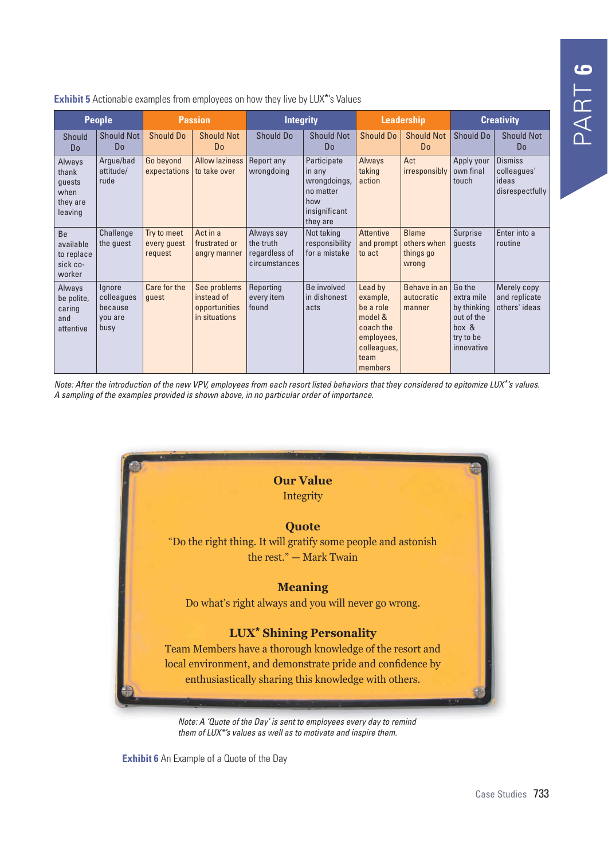| People                                                   |                                                    | <b>Passion</b>                        |                                                              | <b>Integrity</b>                                          |                                                                                        | <b>Leadership</b>                                                                                        |                                                   | <b>Creativity</b>                                                                     |                                                           |
|----------------------------------------------------------|----------------------------------------------------|---------------------------------------|--------------------------------------------------------------|-----------------------------------------------------------|----------------------------------------------------------------------------------------|----------------------------------------------------------------------------------------------------------|---------------------------------------------------|---------------------------------------------------------------------------------------|-----------------------------------------------------------|
| Should<br>Do                                             | <b>Should Not</b><br>Do                            | <b>Should Do</b>                      | <b>Should Not</b><br>D <sub>o</sub>                          | Should Do                                                 | <b>Should Not</b><br>Do                                                                | <b>Should Do</b>                                                                                         | <b>Should Not</b><br>D <sub>o</sub>               | Should Do                                                                             | <b>Should Not</b><br>Do                                   |
| Always<br>thank<br>guests<br>when<br>they are<br>leaving | Argue/bad<br>attitude/<br>rude                     | Go beyond<br>expectations             | <b>Allow laziness</b><br>to take over                        | Report any<br>wrongdoing                                  | Participate<br>in any<br>wrongdoings,<br>no matter<br>how<br>insignificant<br>they are | Always<br>taking<br>action                                                                               | Act<br>irresponsibly                              | Apply your<br>own final<br>touch                                                      | <b>Dismiss</b><br>colleagues'<br>ideas<br>disrespectfully |
| Be<br>available<br>to replace<br>sick co-<br>worker      | Challenge<br>the guest                             | Try to meet<br>every guest<br>request | Act in a<br>frustrated or<br>angry manner                    | Always say<br>the truth<br>regardless of<br>circumstances | Not taking<br>responsibility<br>for a mistake                                          | <b>Attentive</b><br>and prompt<br>to act                                                                 | <b>Blame</b><br>others when<br>things go<br>wrong | Surprise<br>quests                                                                    | Enter into a<br>routine                                   |
| Always<br>be polite,<br>caring<br>and<br>attentive       | lgnore<br>colleagues<br>because<br>you are<br>busy | Care for the<br>quest                 | See problems<br>instead of<br>opportunities<br>in situations | Reporting<br>every item<br>found                          | Be involved<br>in dishonest<br>acts                                                    | Lead by<br>example,<br>be a role<br>model &<br>coach the<br>employees,<br>colleagues,<br>team<br>members | Behave in an<br>autocratic<br>manner              | Go the<br>extra mile<br>by thinking<br>out of the<br>box &<br>try to be<br>innovative | Merely copy<br>and replicate<br>others' ideas             |

**Exhibit 5** Actionable examples from employees on how they live by LUX\*'s Values

Note: After the introduction of the new VPV, employees from each resort listed behaviors that they considered to epitomize LUX*\**'s values. A sampling of the examples provided is shown above, in no particular order of importance.



Note: A 'Quote of the Day' is sent to employees every day to remind them of LUX\*'s values as well as to motivate and inspire them.

**Exhibit 6** An Example of a Quote of the Day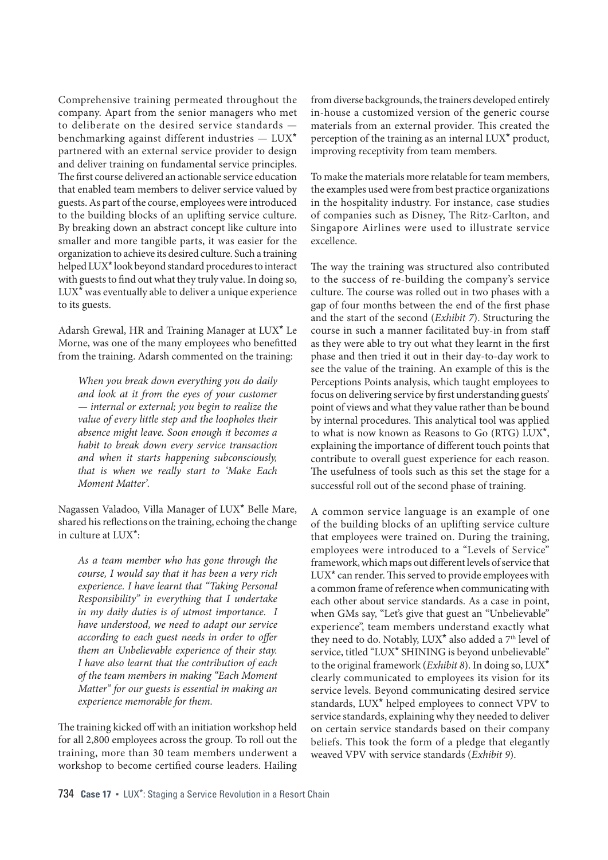Comprehensive training permeated throughout the company. Apart from the senior managers who met to deliberate on the desired service standards benchmarking against different industries — LUX\* partnered with an external service provider to design and deliver training on fundamental service principles. The first course delivered an actionable service education that enabled team members to deliver service valued by guests. As part of the course, employees were introduced to the building blocks of an uplifing service culture. By breaking down an abstract concept like culture into smaller and more tangible parts, it was easier for the organization to achieve its desired culture. Such a training helped LUX\* look beyond standard procedures to interact with guests to fnd out what they truly value. In doing so, LUX\* was eventually able to deliver a unique experience to its guests.

Adarsh Grewal, HR and Training Manager at LUX\* Le Morne, was one of the many employees who beneftted from the training. Adarsh commented on the training:

When you break down everything you do daily and look at it from the eyes of your customer — internal or external; you begin to realize the value of every little step and the loopholes their absence might leave. Soon enough it becomes a habit to break down every service transaction and when it starts happening subconsciously, that is when we really start to 'Make Each Moment Matter'.

Nagassen Valadoo, Villa Manager of LUX\* Belle Mare, shared his refections on the training, echoing the change in culture at LUX\*:

As a team member who has gone through the course, I would say that it has been a very rich experience. I have learnt that "Taking Personal Responsibility" in everything that I undertake in my daily duties is of utmost importance. I have understood, we need to adapt our service according to each guest needs in order to offer them an Unbelievable experience of their stay. I have also learnt that the contribution of each of the team members in making "Each Moment Matter" for our guests is essential in making an experience memorable for them.

The training kicked off with an initiation workshop held for all 2,800 employees across the group. To roll out the training, more than 30 team members underwent a workshop to become certifed course leaders. Hailing from diverse backgrounds, the trainers developed entirely in-house a customized version of the generic course materials from an external provider. This created the perception of the training as an internal LUX\* product, improving receptivity from team members.

To make the materials more relatable for team members, the examples used were from best practice organizations in the hospitality industry. For instance, case studies of companies such as Disney, The Ritz-Carlton, and Singapore Airlines were used to illustrate service excellence.

The way the training was structured also contributed to the success of re-building the company's service culture. The course was rolled out in two phases with a gap of four months between the end of the frst phase and the start of the second (Exhibit 7). Structuring the course in such a manner facilitated buy-in from staf as they were able to try out what they learnt in the frst phase and then tried it out in their day-to-day work to see the value of the training. An example of this is the Perceptions Points analysis, which taught employees to focus on delivering service by frst understanding guests' point of views and what they value rather than be bound by internal procedures. This analytical tool was applied to what is now known as Reasons to Go (RTG) LUX\*, explaining the importance of diferent touch points that contribute to overall guest experience for each reason. The usefulness of tools such as this set the stage for a successful roll out of the second phase of training.

A common service language is an example of one of the building blocks of an uplifting service culture that employees were trained on. During the training, employees were introduced to a "Levels of Service" framework, which maps out diferent levels of service that  $LUX^*$  can render. This served to provide employees with a common frame of reference when communicating with each other about service standards. As a case in point, when GMs say, "Let's give that guest an "Unbelievable" experience", team members understand exactly what they need to do. Notably, LUX<sup>\*</sup> also added a 7<sup>th</sup> level of service, titled "LUX\* SHINING is beyond unbelievable" to the original framework (Exhibit 8). In doing so, LUX\* clearly communicated to employees its vision for its service levels. Beyond communicating desired service standards, LUX\* helped employees to connect VPV to service standards, explaining why they needed to deliver on certain service standards based on their company beliefs. This took the form of a pledge that elegantly weaved VPV with service standards (Exhibit 9).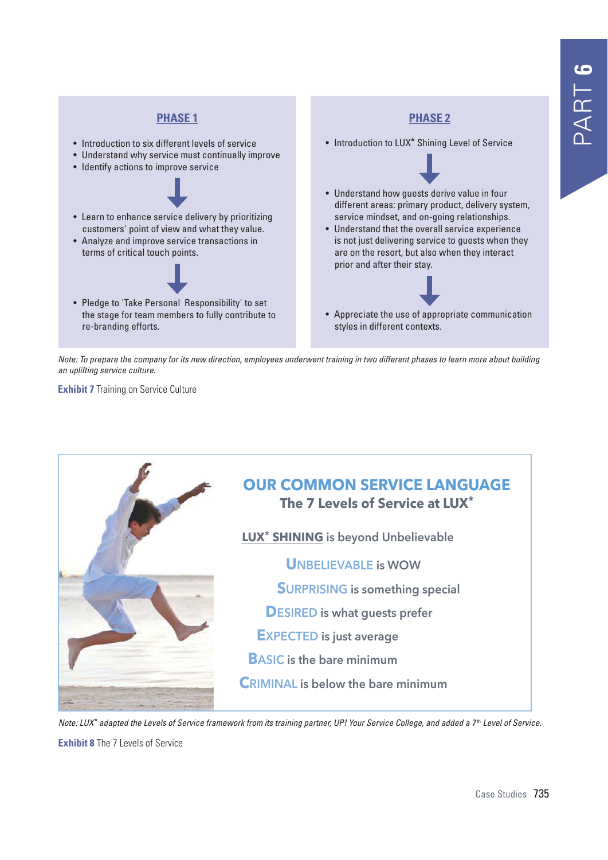

Note: To prepare the company for its new direction, employees underwent training in two different phases to learn more about building an uplifting service culture.

**Exhibit 7** Training on Service Culture



**Exhibit 8** The 7 Levels of Service Note: LUX<sup>\*</sup> adapted the Levels of Service framework from its training partner, UP! Your Service College, and added a 7<sup>th</sup> Level of Service.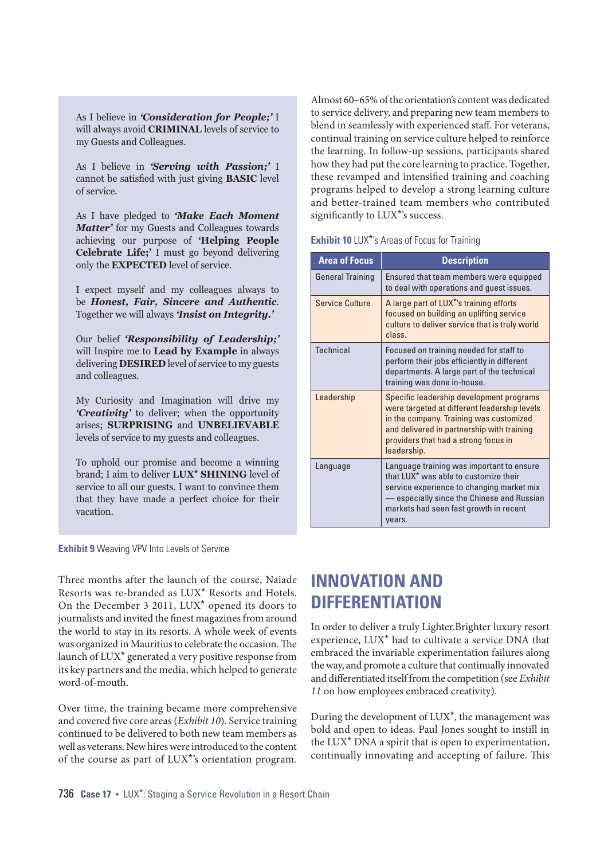As I believe in *'Consideration for People;'* I will always avoid **CRIMINAL** levels of service to my Guests and Colleagues.

As I believe in *'Serving with Passion;'* I cannot be satisfied with just giving **BASIC** level of service.

As I have pledged to *'Make Each Moment Matter'* for my Guests and Colleagues towards achieving our purpose of **'Helping People Celebrate Life;'** I must go beyond delivering only the **EXPECTED** level of service.

I expect myself and my colleagues always to be *Honest, Fair, Sincere and Authentic*. Together we will always *'Insist on Integrity.'*

Our belief *'Responsibility of Leadership;'* will Inspire me to **Lead by Example** in always delivering **DESIRED** level of service to my guests and colleagues.

My Curiosity and Imagination will drive my *'Creativity'* to deliver; when the opportunity arises; **SURPRISING** and **UNBELIEVABLE** levels of service to my guests and colleagues.

To uphold our promise and become a winning brand; I aim to deliver **LUX\* SHINING** level of service to all our guests. I want to convince them that they have made a perfect choice for their vacation.

**Exhibit 9** Weaving VPV Into Levels of Service

Three months after the launch of the course, Naiade Resorts was re-branded as LUX\* Resorts and Hotels. On the December 3 2011, LUX\* opened its doors to journalists and invited the fnest magazines from around the world to stay in its resorts. A whole week of events was organized in Mauritius to celebrate the occasion. The launch of LUX\* generated a very positive response from its key partners and the media, which helped to generate word-of-mouth.

Over time, the training became more comprehensive and covered fve core areas (Exhibit 10). Service training continued to be delivered to both new team members as well as veterans. New hires were introduced to the content of the course as part of LUX\*'s orientation program.

Almost 60–65% of the orientation's content was dedicated to service delivery, and preparing new team members to blend in seamlessly with experienced staf. For veterans, continual training on service culture helped to reinforce the learning. In follow-up sessions, participants shared how they had put the core learning to practice. Together, these revamped and intensifed training and coaching programs helped to develop a strong learning culture and better-trained team members who contributed significantly to LUX<sup>\*</sup>'s success.

| <b>Area of Focus</b>    | <b>Description</b>                                                                                                                                                                                                                            |  |  |
|-------------------------|-----------------------------------------------------------------------------------------------------------------------------------------------------------------------------------------------------------------------------------------------|--|--|
| <b>General Training</b> | Ensured that team members were equipped<br>to deal with operations and guest issues.                                                                                                                                                          |  |  |
| Service Culture         | A large part of LUX*'s training efforts<br>focused on building an uplifting service<br>culture to deliver service that is truly world<br>class.                                                                                               |  |  |
| <b>Technical</b>        | Focused on training needed for staff to<br>perform their jobs efficiently in different<br>departments. A large part of the technical<br>training was done in-house.                                                                           |  |  |
| Leadership              | Specific leadership development programs<br>were targeted at different leadership levels<br>in the company. Training was customized<br>and delivered in partnership with training<br>providers that had a strong focus in<br>leadership.      |  |  |
| Language                | Language training was important to ensure<br>that LUX <sup>*</sup> was able to customize their<br>service experience to changing market mix<br>- especially since the Chinese and Russian<br>markets had seen fast growth in recent<br>years. |  |  |

#### **Exhibit 10 LUX\*'s Areas of Focus for Training**

### **INNOVATION AND DIFFERENTIATION**

In order to deliver a truly Lighter.Brighter luxury resort experience, LUX\* had to cultivate a service DNA that embraced the invariable experimentation failures along the way, and promote a culture that continually innovated and diferentiated itself from the competition (see Exhibit 11 on how employees embraced creativity).

During the development of LUX\*, the management was bold and open to ideas. Paul Jones sought to instill in the LUX\* DNA a spirit that is open to experimentation, continually innovating and accepting of failure. This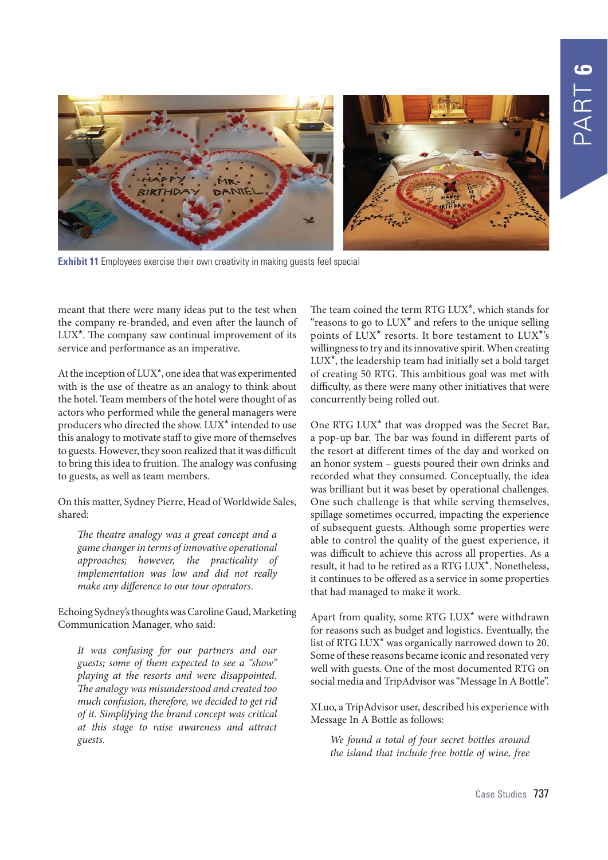

**Exhibit 11** Employees exercise their own creativity in making guests feel special

meant that there were many ideas put to the test when the company re-branded, and even after the launch of  $LUX^*$ . The company saw continual improvement of its service and performance as an imperative.

At the inception of LUX\*, one idea that was experimented with is the use of theatre as an analogy to think about the hotel. Team members of the hotel were thought of as actors who performed while the general managers were producers who directed the show. LUX\* intended to use this analogy to motivate staff to give more of themselves to guests. However, they soon realized that it was difficult to bring this idea to fruition. The analogy was confusing to guests, as well as team members.

On this matter, Sydney Pierre, Head of Worldwide Sales, shared:

The theatre analogy was a great concept and a game changer in terms of innovative operational approaches; however, the practicality of implementation was low and did not really make any diference to our tour operators.

Echoing Sydney's thoughts was Caroline Gaud, Marketing Communication Manager, who said:

It was confusing for our partners and our guests; some of them expected to see a "show" playing at the resorts and were disappointed. The analogy was misunderstood and created too much confusion, therefore, we decided to get rid of it. Simplifying the brand concept was critical at this stage to raise awareness and attract guests.

The team coined the term RTG LUX<sup>\*</sup>, which stands for "reasons to go to LUX\* and refers to the unique selling points of LUX\* resorts. It bore testament to LUX\*'s willingness to try and its innovative spirit. When creating LUX\*, the leadership team had initially set a bold target of creating 50 RTG. This ambitious goal was met with difficulty, as there were many other initiatives that were concurrently being rolled out.

One RTG LUX\* that was dropped was the Secret Bar, a pop-up bar. The bar was found in different parts of the resort at diferent times of the day and worked on an honor system – guests poured their own drinks and recorded what they consumed. Conceptually, the idea was brilliant but it was beset by operational challenges. One such challenge is that while serving themselves, spillage sometimes occurred, impacting the experience of subsequent guests. Although some properties were able to control the quality of the guest experience, it was difficult to achieve this across all properties. As a result, it had to be retired as a RTG LUX\*. Nonetheless, it continues to be ofered as a service in some properties that had managed to make it work.

Apart from quality, some RTG LUX\* were withdrawn for reasons such as budget and logistics. Eventually, the list of RTG LUX\* was organically narrowed down to 20. Some of these reasons became iconic and resonated very well with guests. One of the most documented RTG on social media and TripAdvisor was "Message In A Bottle".

XLuo, a TripAdvisor user, described his experience with Message In A Bottle as follows:

We found a total of four secret bottles around the island that include free bottle of wine, free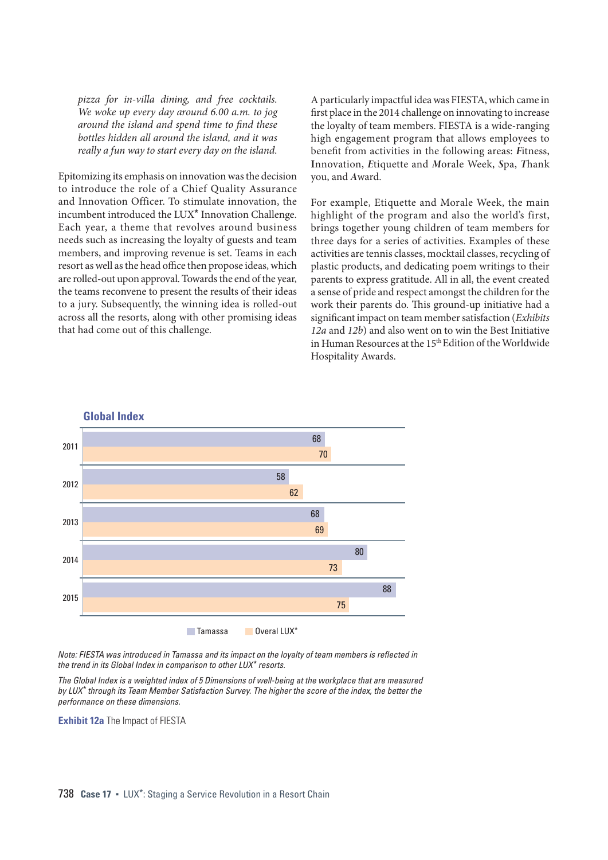pizza for in-villa dining, and free cocktails. We woke up every day around 6.00 a.m. to jog around the island and spend time to fnd these bottles hidden all around the island, and it was really a fun way to start every day on the island.

Epitomizing its emphasis on innovation was the decision to introduce the role of a Chief Quality Assurance and Innovation Officer. To stimulate innovation, the incumbent introduced the LUX\* Innovation Challenge. Each year, a theme that revolves around business needs such as increasing the loyalty of guests and team members, and improving revenue is set. Teams in each resort as well as the head office then propose ideas, which are rolled-out upon approval. Towards the end of the year, the teams reconvene to present the results of their ideas to a jury. Subsequently, the winning idea is rolled-out across all the resorts, along with other promising ideas that had come out of this challenge.

A particularly impactful idea was FIESTA, which came in frst place in the 2014 challenge on innovating to increase the loyalty of team members. FIESTA is a wide-ranging high engagement program that allows employees to beneft from activities in the following areas: **F**itness, **I**nnovation, **E**tiquette and **M**orale Week, **S**pa, **T**hank you, and **A**ward.

For example, Etiquette and Morale Week, the main highlight of the program and also the world's first, brings together young children of team members for three days for a series of activities. Examples of these activities are tennis classes, mocktail classes, recycling of plastic products, and dedicating poem writings to their parents to express gratitude. All in all, the event created a sense of pride and respect amongst the children for the work their parents do. This ground-up initiative had a significant impact on team member satisfaction (Exhibits 12a and 12b) and also went on to win the Best Initiative in Human Resources at the 15<sup>th</sup> Edition of the Worldwide Hospitality Awards.



Note: FIESTA was introduced in Tamassa and its impact on the loyalty of team members is reflected in the trend in its Global Index in comparison to other LUX*\** resorts.

The Global Index is a weighted index of 5 Dimensions of well-being at the workplace that are measured by LUX*\** through its Team Member Satisfaction Survey. The higher the score of the index, the better the performance on these dimensions.

**Exhibit 12a** The Impact of FIESTA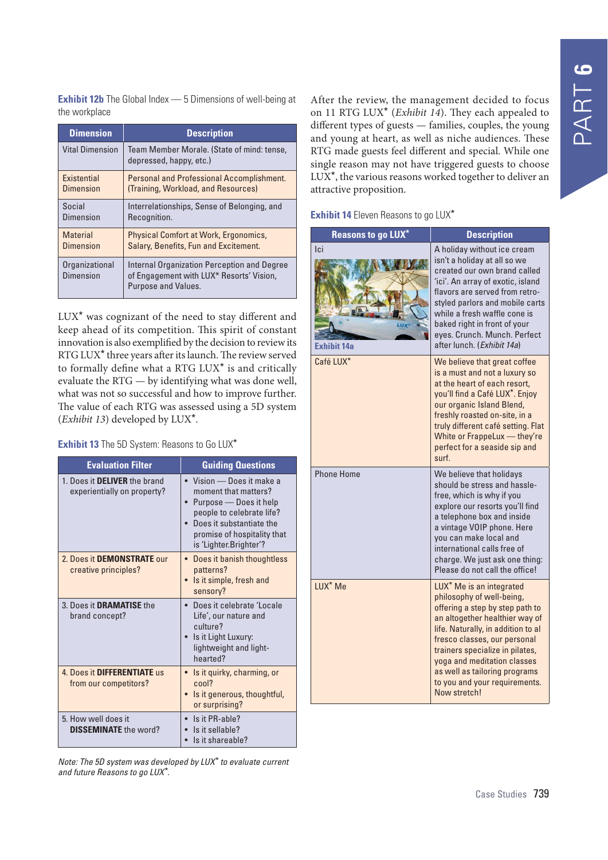**Exhibit 12b** The Global Index — 5 Dimensions of well-being at the workplace

| <b>Dimension</b>            | <b>Description</b>                                                                                             |  |  |
|-----------------------------|----------------------------------------------------------------------------------------------------------------|--|--|
| <b>Vital Dimension</b>      | Team Member Morale. (State of mind: tense,<br>depressed, happy, etc.)                                          |  |  |
| <b>Existential</b>          | Personal and Professional Accomplishment.                                                                      |  |  |
| <b>Dimension</b>            | (Training, Workload, and Resources)                                                                            |  |  |
| Social                      | Interrelationships, Sense of Belonging, and                                                                    |  |  |
| Dimension                   | Recognition.                                                                                                   |  |  |
| <b>Material</b>             | <b>Physical Comfort at Work, Ergonomics,</b>                                                                   |  |  |
| <b>Dimension</b>            | Salary, Benefits, Fun and Excitement.                                                                          |  |  |
| Organizational<br>Dimension | Internal Organization Perception and Degree<br>of Engagement with LUX* Resorts' Vision,<br>Purpose and Values. |  |  |

LUX\* was cognizant of the need to stay diferent and keep ahead of its competition. This spirit of constant innovation is also exemplifed by the decision to review its RTG LUX\* three years after its launch. The review served to formally defne what a RTG LUX\* is and critically evaluate the RTG — by identifying what was done well, what was not so successful and how to improve further. The value of each RTG was assessed using a 5D system (Exhibit 13) developed by LUX\*.

**Exhibit 13** The 5D System: Reasons to Go LUX\*

| <b>Evaluation Filter</b>                                    | <b>Guiding Questions</b>                                                                                                                                                                      |
|-------------------------------------------------------------|-----------------------------------------------------------------------------------------------------------------------------------------------------------------------------------------------|
| 1. Does it DELIVER the brand<br>experientially on property? | • Vision — Does it make a<br>moment that matters?<br>Purpose - Does it help<br>people to celebrate life?<br>Does it substantiate the<br>promise of hospitality that<br>is 'Lighter.Brighter'? |
| 2. Does it DEMONSTRATE our<br>creative principles?          | Does it banish thoughtless<br>$\bullet$<br>patterns?<br>Is it simple, fresh and<br>sensory?                                                                                                   |
| 3. Does it DRAMATISE the<br>brand concept?                  | Does it celebrate 'I ocale<br>Life', our nature and<br>culture?<br>Is it Light Luxury:<br>lightweight and light-<br>hearted?                                                                  |
| 4. Does it DIFFERENTIATE us<br>from our competitors?        | Is it quirky, charming, or<br>$\text{con}$<br>Is it generous, thoughtful,<br>or surprising?                                                                                                   |
| 5. How well does it<br><b>DISSEMINATE</b> the word?         | Is it PR-able?<br>Is it sellable?<br>Is it shareable?                                                                                                                                         |

Note: The 5D system was developed by LUX*\** to evaluate current and future Reasons to go LUX*\**.

After the review, the management decided to focus on 11 RTG LUX<sup>\*</sup> (*Exhibit 14*). They each appealed to diferent types of guests — families, couples, the young and young at heart, as well as niche audiences. These RTG made guests feel diferent and special. While one single reason may not have triggered guests to choose LUX\*, the various reasons worked together to deliver an attractive proposition.

**Exhibit 14 Eleven Reasons to go LUX\*** 

| Reasons to go LUX*    | <b>Description</b>                                                                                                                                                                                                                                                                                                                                               |
|-----------------------|------------------------------------------------------------------------------------------------------------------------------------------------------------------------------------------------------------------------------------------------------------------------------------------------------------------------------------------------------------------|
| <b>Ici</b><br>14a     | A holiday without ice cream<br>isn't a holiday at all so we<br>created our own brand called<br>'ici'. An array of exotic, island<br>flavors are served from retro-<br>styled parlors and mobile carts<br>while a fresh waffle cone is<br>baked right in front of your<br>eyes. Crunch. Munch. Perfect<br>after lunch. (Exhibit 14a)                              |
| Café LUX <sup>*</sup> | We believe that great coffee<br>is a must and not a luxury so<br>at the heart of each resort,<br>you'll find a Café LUX*. Enjoy<br>our organic Island Blend,<br>freshly roasted on-site, in a<br>truly different café setting. Flat<br>White or FrappeLux - they're<br>perfect for a seaside sip and<br>surf.                                                    |
| Phone Home            | We believe that holidays<br>should be stress and hassle-<br>free, which is why if you<br>explore our resorts you'll find<br>a telephone box and inside<br>a vintage VOIP phone. Here<br>you can make local and<br>international calls free of<br>charge. We just ask one thing:<br>Please do not call the office!                                                |
| LUX <sup>*</sup> Me   | LUX <sup>*</sup> Me is an integrated<br>philosophy of well-being,<br>offering a step by step path to<br>an altogether healthier way of<br>life. Naturally, in addition to al<br>fresco classes, our personal<br>trainers specialize in pilates,<br>yoga and meditation classes<br>as well as tailoring programs<br>to you and your requirements.<br>Now stretch! |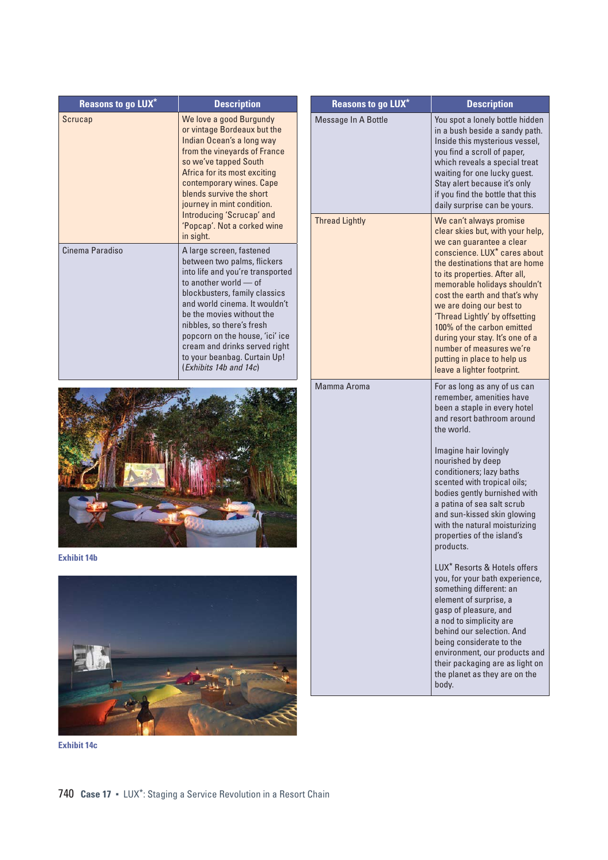| <b>Reasons to go LUX</b> * | <b>Description</b>                                                                                                                                                                                                                                                                                                                                                             |
|----------------------------|--------------------------------------------------------------------------------------------------------------------------------------------------------------------------------------------------------------------------------------------------------------------------------------------------------------------------------------------------------------------------------|
| Scrucap                    | We love a good Burgundy<br>or vintage Bordeaux but the<br>Indian Ocean's a long way<br>from the vineyards of France<br>so we've tapped South<br>Africa for its most exciting<br>contemporary wines. Cape<br>blends survive the short<br>journey in mint condition.<br>Introducing 'Scrucap' and<br>'Popcap'. Not a corked wine<br>in sight.                                    |
| Cinema Paradiso            | A large screen, fastened<br>between two palms, flickers<br>into life and you're transported<br>to another world - of<br>blockbusters, family classics<br>and world cinema. It wouldn't<br>be the movies without the<br>nibbles, so there's fresh<br>popcorn on the house, 'ici' ice<br>cream and drinks served right<br>to your beanbag. Curtain Up!<br>(Exhibits 14b and 14c) |



**Exhibit 14b**



| Reasons to go LUX*    | <b>Description</b>                                                                                                                                                                                                                                                                                                                                                                                                                                                                                                                                                                                                                                                                                                                                                                   |
|-----------------------|--------------------------------------------------------------------------------------------------------------------------------------------------------------------------------------------------------------------------------------------------------------------------------------------------------------------------------------------------------------------------------------------------------------------------------------------------------------------------------------------------------------------------------------------------------------------------------------------------------------------------------------------------------------------------------------------------------------------------------------------------------------------------------------|
| Message In A Bottle   | You spot a lonely bottle hidden<br>in a bush beside a sandy path.<br>Inside this mysterious vessel,<br>you find a scroll of paper,<br>which reveals a special treat<br>waiting for one lucky guest.<br>Stay alert because it's only<br>if you find the bottle that this<br>daily surprise can be yours.                                                                                                                                                                                                                                                                                                                                                                                                                                                                              |
| <b>Thread Lightly</b> | We can't always promise<br>clear skies but, with your help,<br>we can quarantee a clear<br>conscience. LUX <sup>*</sup> cares about<br>the destinations that are home<br>to its properties. After all,<br>memorable holidays shouldn't<br>cost the earth and that's why<br>we are doing our best to<br>'Thread Lightly' by offsetting<br>100% of the carbon emitted<br>during your stay. It's one of a<br>number of measures we're<br>putting in place to help us<br>leave a lighter footprint.                                                                                                                                                                                                                                                                                      |
| Mamma Aroma           | For as long as any of us can<br>remember, amenities have<br>been a staple in every hotel<br>and resort bathroom around<br>the world.<br>Imagine hair lovingly<br>nourished by deep<br>conditioners; lazy baths<br>scented with tropical oils;<br>bodies gently burnished with<br>a patina of sea salt scrub<br>and sun-kissed skin glowing<br>with the natural moisturizing<br>properties of the island's<br>products.<br>LUX <sup>*</sup> Resorts & Hotels offers<br>you, for your bath experience,<br>something different: an<br>element of surprise, a<br>gasp of pleasure, and<br>a nod to simplicity are<br>behind our selection. And<br>being considerate to the<br>environment, our products and<br>their packaging are as light on<br>the planet as they are on the<br>body. |

**Exhibit 14c**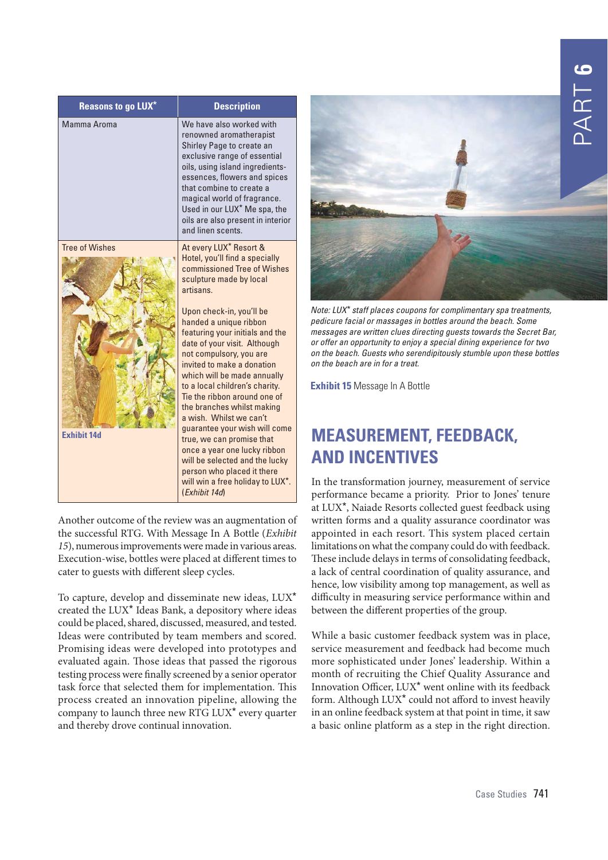| <b>Reasons to go LUX*</b>            | <b>Description</b>                                                                                                                                                                                                                                                                                                                                                                                                                                                                                                                                                                                                                                                                             |
|--------------------------------------|------------------------------------------------------------------------------------------------------------------------------------------------------------------------------------------------------------------------------------------------------------------------------------------------------------------------------------------------------------------------------------------------------------------------------------------------------------------------------------------------------------------------------------------------------------------------------------------------------------------------------------------------------------------------------------------------|
| Mamma Aroma                          | We have also worked with<br>renowned aromatherapist<br>Shirley Page to create an<br>exclusive range of essential<br>oils, using island ingredients-<br>essences, flowers and spices<br>that combine to create a<br>magical world of fragrance.<br>Used in our LUX* Me spa, the<br>oils are also present in interior<br>and linen scents.                                                                                                                                                                                                                                                                                                                                                       |
| Tree of Wishes<br><b>Exhibit 14d</b> | At every LUX* Resort &<br>Hotel, you'll find a specially<br>commissioned Tree of Wishes<br>sculpture made by local<br>artisans.<br>Upon check-in, you'll be<br>handed a unique ribbon<br>featuring your initials and the<br>date of your visit. Although<br>not compulsory, you are<br>invited to make a donation<br>which will be made annually<br>to a local children's charity.<br>Tie the ribbon around one of<br>the branches whilst making<br>a wish. Whilst we can't<br>guarantee your wish will come<br>true, we can promise that<br>once a year one lucky ribbon<br>will be selected and the lucky<br>person who placed it there<br>will win a free holiday to LUX*.<br>(Exhibit 14d) |

Another outcome of the review was an augmentation of the successful RTG. With Message In A Bottle (Exhibit 15), numerous improvements were made in various areas. Execution-wise, bottles were placed at diferent times to cater to guests with diferent sleep cycles.

To capture, develop and disseminate new ideas, LUX\* created the LUX\* Ideas Bank, a depository where ideas could be placed, shared, discussed, measured, and tested. Ideas were contributed by team members and scored. Promising ideas were developed into prototypes and evaluated again. Those ideas that passed the rigorous testing process were fnally screened by a senior operator task force that selected them for implementation. This process created an innovation pipeline, allowing the company to launch three new RTG LUX\* every quarter and thereby drove continual innovation.



Note: LUX*\** staff places coupons for complimentary spa treatments, pedicure facial or massages in bottles around the beach. Some messages are written clues directing guests towards the Secret Bar, or offer an opportunity to enjoy a special dining experience for two on the beach. Guests who serendipitously stumble upon these bottles on the beach are in for a treat.

**Exhibit 15** Message In A Bottle

## **MEASUREMENT, FEEDBACK, AND INCENTIVES**

In the transformation journey, measurement of service performance became a priority. Prior to Jones' tenure at LUX\*, Naiade Resorts collected guest feedback using written forms and a quality assurance coordinator was appointed in each resort. This system placed certain limitations on what the company could do with feedback. These include delays in terms of consolidating feedback, a lack of central coordination of quality assurance, and hence, low visibility among top management, as well as difficulty in measuring service performance within and between the diferent properties of the group.

While a basic customer feedback system was in place, service measurement and feedback had become much more sophisticated under Jones' leadership. Within a month of recruiting the Chief Quality Assurance and Innovation Officer, LUX<sup>\*</sup> went online with its feedback form. Although LUX<sup>\*</sup> could not afford to invest heavily in an online feedback system at that point in time, it saw a basic online platform as a step in the right direction.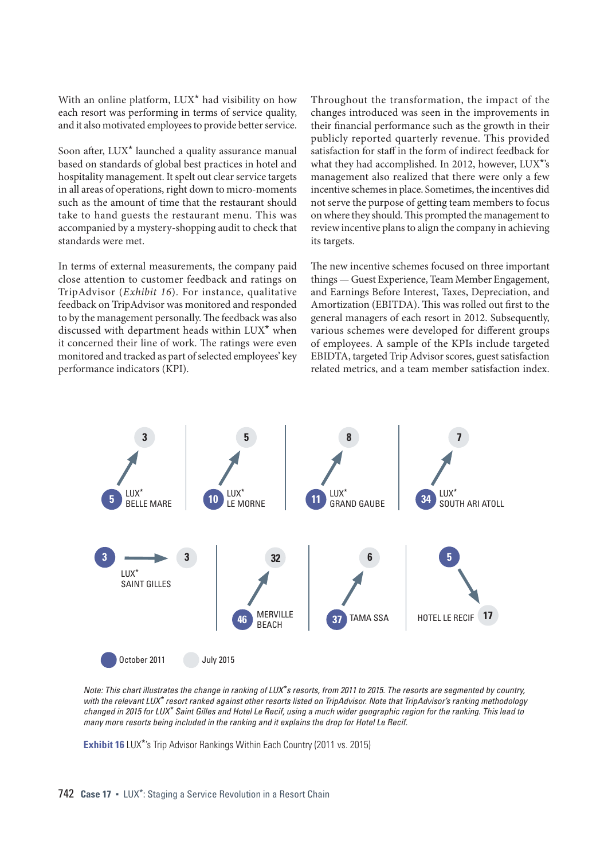With an online platform, LUX<sup>\*</sup> had visibility on how each resort was performing in terms of service quality, and it also motivated employees to provide better service.

Soon after, LUX<sup>\*</sup> launched a quality assurance manual based on standards of global best practices in hotel and hospitality management. It spelt out clear service targets in all areas of operations, right down to micro-moments such as the amount of time that the restaurant should take to hand guests the restaurant menu. This was accompanied by a mystery-shopping audit to check that standards were met.

In terms of external measurements, the company paid close attention to customer feedback and ratings on TripAdvisor (Exhibit 16). For instance, qualitative feedback on TripAdvisor was monitored and responded to by the management personally. The feedback was also discussed with department heads within LUX\* when it concerned their line of work. The ratings were even monitored and tracked as part of selected employees' key performance indicators (KPI).

Throughout the transformation, the impact of the changes introduced was seen in the improvements in their fnancial performance such as the growth in their publicly reported quarterly revenue. This provided satisfaction for staff in the form of indirect feedback for what they had accomplished. In 2012, however, LUX\*'s management also realized that there were only a few incentive schemes in place. Sometimes, the incentives did not serve the purpose of getting team members to focus on where they should. This prompted the management to review incentive plans to align the company in achieving its targets.

The new incentive schemes focused on three important things — Guest Experience, Team Member Engagement, and Earnings Before Interest, Taxes, Depreciation, and Amortization (EBITDA). This was rolled out first to the general managers of each resort in 2012. Subsequently, various schemes were developed for diferent groups of employees. A sample of the KPIs include targeted EBIDTA, targeted Trip Advisor scores, guest satisfaction related metrics, and a team member satisfaction index.



Note: This chart illustrates the change in ranking of LUX*\**s resorts, from 2011 to 2015. The resorts are segmented by country, with the relevant LUX<sup>\*</sup> resort ranked against other resorts listed on TripAdvisor. Note that TripAdvisor's ranking methodology changed in 2015 for LUX*\** Saint Gilles and Hotel Le Recif, using a much wider geographic region for the ranking. This lead to many more resorts being included in the ranking and it explains the drop for Hotel Le Recif.

**Exhibit 16** LUX\*'s Trip Advisor Rankings Within Each Country (2011 vs. 2015)